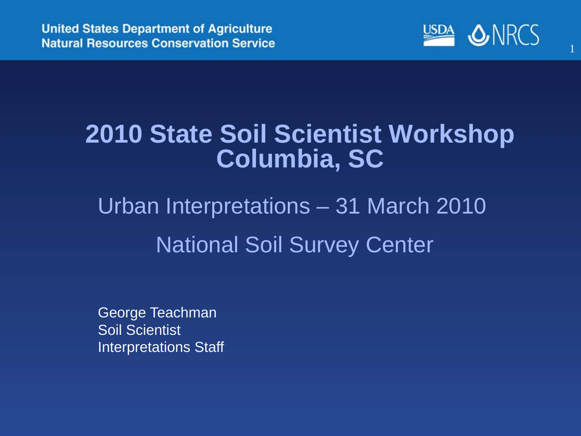

#### **2010 State Soil Scientist Workshop Columbia, SC**

#### Urban Interpretations – 31 March 2010 National Soil Survey Center

George Teachman Soil Scientist Interpretations Staff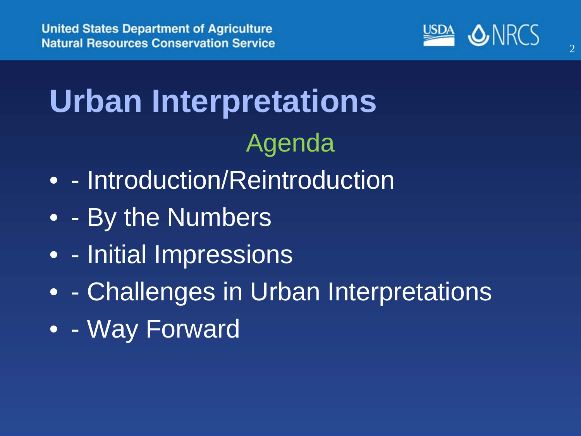

# **Urban Interpretations** Agenda

- - Introduction/Reintroduction
- - By the Numbers
- - Initial Impressions
- - Challenges in Urban Interpretations
- - Way Forward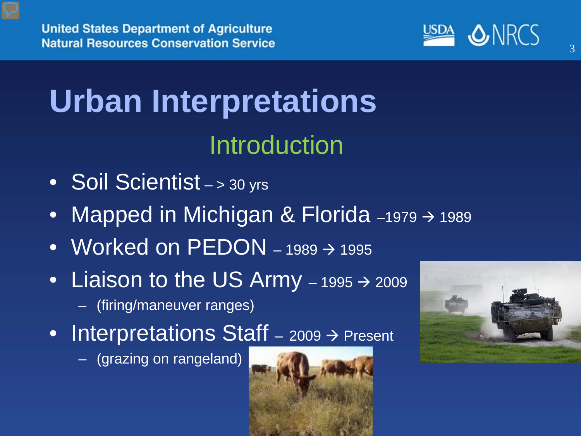

# **Urban Interpretations** Introduction

- Soil Scientist > 30 yrs
- Mapped in Michigan & Florida  $-1979 \rightarrow 1989$
- Worked on  $\text{PEDON}$  1989  $\rightarrow$  1995
- Liaison to the US Army  $-1995 \rightarrow 2009$ 
	- (firing/maneuver ranges)
- Interpretations Staff  $-$  2009  $\rightarrow$  Present
	- (grazing on rangeland)



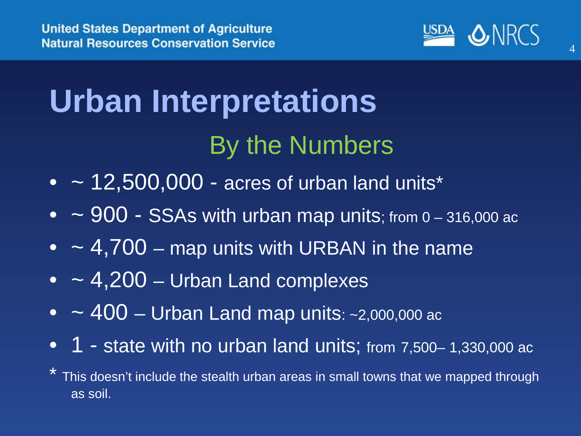

# **Urban Interpretations** By the Numbers

- $\bullet$  ~ 12,500,000 acres of urban land units\*
- $\sim$  900 SSAs with urban map units; from 0 316,000 ac
- $\bullet$   $\sim$  4,700 map units with URBAN in the name
- $\bullet$  ~ 4,200 Urban Land complexes
- $\bullet$   $\sim$  400 Urban Land map units: ~2,000,000 ac
- 1 state with no urban land units; from 7,500-1,330,000 ac
- This doesn't include the stealth urban areas in small towns that we mapped through as soil.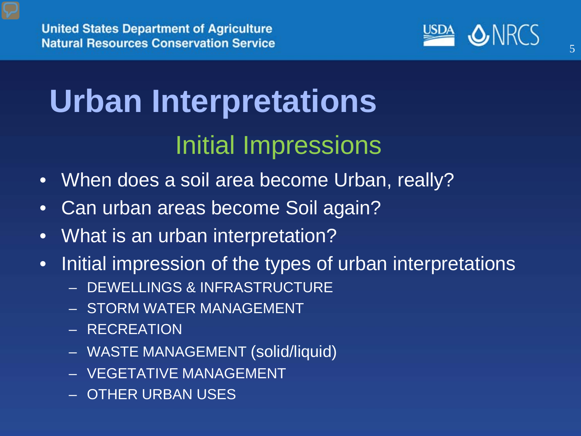

# **Urban Interpretations** Initial Impressions

- When does a soil area become Urban, really?
- Can urban areas become Soil again?
- What is an urban interpretation?
- Initial impression of the types of urban interpretations
	- DEWELLINGS & INFRASTRUCTURE
	- STORM WATER MANAGEMENT
	- RECREATION
	- WASTE MANAGEMENT (solid/liquid)
	- VEGETATIVE MANAGEMENT
	- OTHER URBAN USES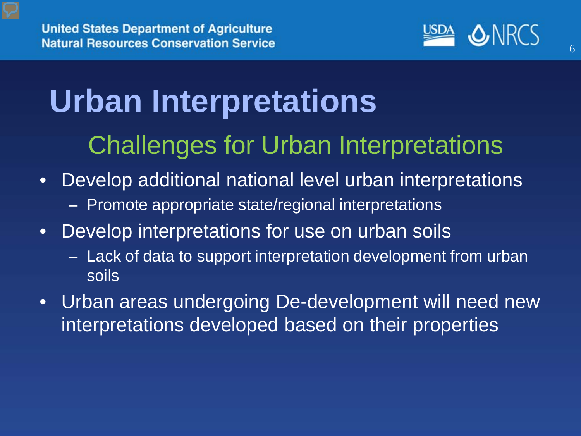

# **Urban Interpretations** Challenges for Urban Interpretations

- Develop additional national level urban interpretations
	- Promote appropriate state/regional interpretations
- Develop interpretations for use on urban soils
	- Lack of data to support interpretation development from urban soils
- Urban areas undergoing De-development will need new interpretations developed based on their properties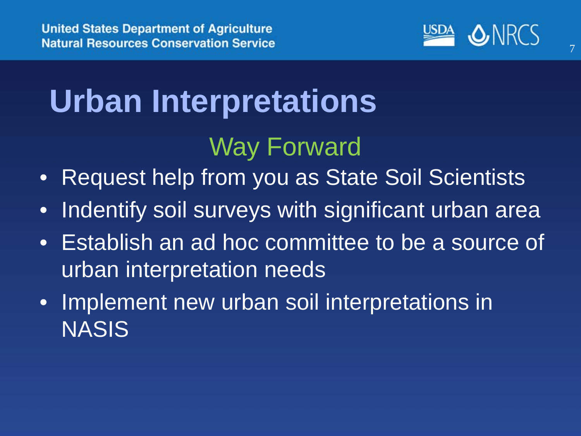

# **Urban Interpretations** Way Forward

- Request help from you as State Soil Scientists
- Indentify soil surveys with significant urban area
- Establish an ad hoc committee to be a source of urban interpretation needs
- Implement new urban soil interpretations in NASIS